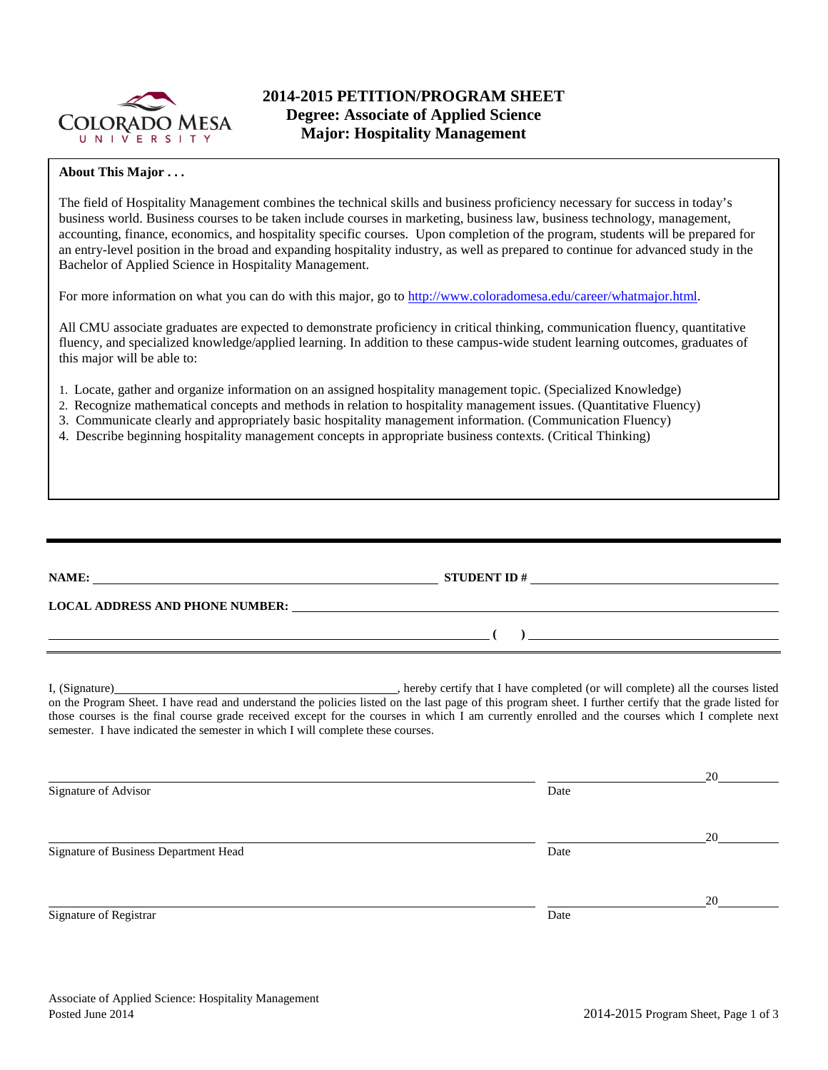

# **2014-2015 PETITION/PROGRAM SHEET Degree: Associate of Applied Science Major: Hospitality Management**

### **About This Major . . .**

The field of Hospitality Management combines the technical skills and business proficiency necessary for success in today's business world. Business courses to be taken include courses in marketing, business law, business technology, management, accounting, finance, economics, and hospitality specific courses. Upon completion of the program, students will be prepared for an entry-level position in the broad and expanding hospitality industry, as well as prepared to continue for advanced study in the Bachelor of Applied Science in Hospitality Management.

For more information on what you can do with this major, go to [http://www.coloradomesa.edu/career/whatmajor.html.](http://www.coloradomesa.edu/career/whatmajor.html)

All CMU associate graduates are expected to demonstrate proficiency in critical thinking, communication fluency, quantitative fluency, and specialized knowledge/applied learning. In addition to these campus-wide student learning outcomes, graduates of this major will be able to:

- 1. Locate, gather and organize information on an assigned hospitality management topic. (Specialized Knowledge)
- 2. Recognize mathematical concepts and methods in relation to hospitality management issues. (Quantitative Fluency)
- 3. Communicate clearly and appropriately basic hospitality management information. (Communication Fluency)
- 4. Describe beginning hospitality management concepts in appropriate business contexts. (Critical Thinking)

| NAME:                                  | <b>STUDENT ID#</b> |  |
|----------------------------------------|--------------------|--|
| <b>LOCAL ADDRESS AND PHONE NUMBER:</b> |                    |  |
|                                        |                    |  |
|                                        |                    |  |

I, (Signature) , hereby certify that I have completed (or will complete) all the courses listed on the Program Sheet. I have read and understand the policies listed on the last page of this program sheet. I further certify that the grade listed for those courses is the final course grade received except for the courses in which I am currently enrolled and the courses which I complete next semester. I have indicated the semester in which I will complete these courses.

|      | 20 |
|------|----|
| Date |    |
|      |    |
|      | 20 |
| Date |    |
|      |    |
|      | 20 |
| Date |    |
|      |    |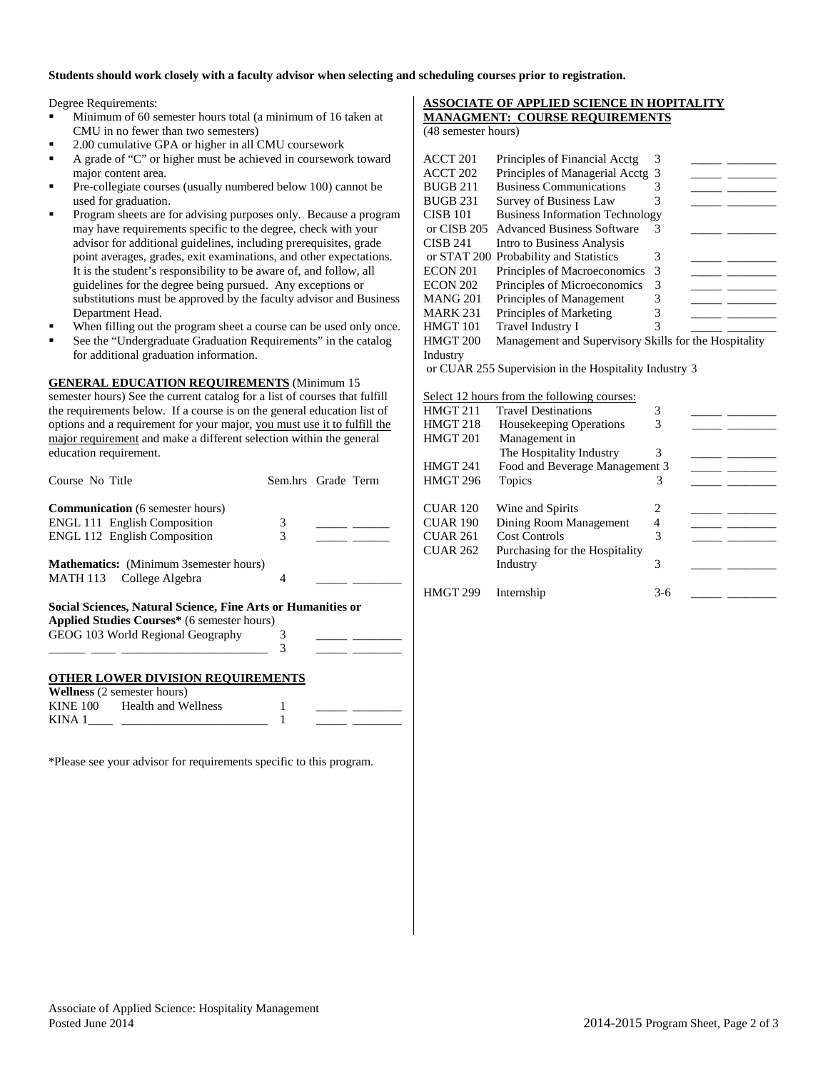#### **Students should work closely with a faculty advisor when selecting and scheduling courses prior to registration.**

Degree Requirements:

- Minimum of 60 semester hours total (a minimum of 16 taken at CMU in no fewer than two semesters)
- 2.00 cumulative GPA or higher in all CMU coursework
- A grade of "C" or higher must be achieved in coursework toward major content area.
- Pre-collegiate courses (usually numbered below 100) cannot be used for graduation.
- Program sheets are for advising purposes only. Because a program may have requirements specific to the degree, check with your advisor for additional guidelines, including prerequisites, grade point averages, grades, exit examinations, and other expectations. It is the student's responsibility to be aware of, and follow, all guidelines for the degree being pursued. Any exceptions or substitutions must be approved by the faculty advisor and Business Department Head.
- When filling out the program sheet a course can be used only once.
- See the "Undergraduate Graduation Requirements" in the catalog for additional graduation information.

**GENERAL EDUCATION REQUIREMENTS** (Minimum 15 semester hours) See the current catalog for a list of courses that fulfill the requirements below. If a course is on the general education list of options and a requirement for your major, you must use it to fulfill the major requirement and make a different selection within the general education requirement.

| Course No Title                                              | Sem.hrs Grade Term |  |
|--------------------------------------------------------------|--------------------|--|
| <b>Communication</b> (6 semester hours)                      |                    |  |
| <b>ENGL 111 English Composition</b>                          | 3                  |  |
| <b>ENGL 112 English Composition</b>                          | 3                  |  |
| <b>Mathematics:</b> (Minimum 3 semester hours)               |                    |  |
| MATH 113 College Algebra                                     | 4                  |  |
| Social Sciences, Natural Science, Fine Arts or Humanities or |                    |  |
| Applied Studies Courses* (6 semester hours)                  |                    |  |
| GEOG 103 World Regional Geography                            | 3                  |  |
|                                                              | 3                  |  |
| <b>OTHER LOWER DIVISION REQUIREMENTS</b>                     |                    |  |
| <b>Wellness</b> (2 semester hours)                           |                    |  |

\*Please see your advisor for requirements specific to this program.

KINE 100 Health and Wellness 1 KINA  $1$   $1$ 

### **ASSOCIATE OF APPLIED SCIENCE IN HOPITALITY MANAGMENT: COURSE REQUIREMENTS**

(48 semester hours)

| ACCT 201                                              | Principles of Financial Acctg                         | 3 |  |  |  |  |
|-------------------------------------------------------|-------------------------------------------------------|---|--|--|--|--|
| ACCT 202                                              | Principles of Managerial Acctg 3                      |   |  |  |  |  |
|                                                       |                                                       |   |  |  |  |  |
| <b>BUGB 211</b>                                       | <b>Business Communications</b>                        | 3 |  |  |  |  |
| <b>BUGB 231</b>                                       | <b>Survey of Business Law</b>                         | 3 |  |  |  |  |
| <b>CISB 101</b>                                       | <b>Business Information Technology</b>                |   |  |  |  |  |
| or CISB 205                                           | <b>Advanced Business Software</b>                     | 3 |  |  |  |  |
| CISB 241                                              | Intro to Business Analysis                            |   |  |  |  |  |
|                                                       | or STAT 200 Probability and Statistics                | 3 |  |  |  |  |
| <b>ECON 201</b>                                       | Principles of Macroeconomics                          | 3 |  |  |  |  |
| <b>ECON 202</b>                                       | Principles of Microeconomics                          | 3 |  |  |  |  |
| <b>MANG 201</b>                                       | Principles of Management                              | 3 |  |  |  |  |
| MARK 231                                              | Principles of Marketing                               | 3 |  |  |  |  |
| <b>HMGT 101</b>                                       | Travel Industry I                                     | 3 |  |  |  |  |
| <b>HMGT 200</b>                                       | Management and Supervisory Skills for the Hospitality |   |  |  |  |  |
| Industry                                              |                                                       |   |  |  |  |  |
| or CUAR 255 Supervision in the Hospitality Industry 3 |                                                       |   |  |  |  |  |
|                                                       |                                                       |   |  |  |  |  |

Select 12 hours from the following courses: HMGT 211 Travel Destinations 3 HMGT 218 Housekeeping Operations 3 HMGT 201 Management in The Hospitality Industry 3 HMGT 241 Food and Beverage Management 3 HMGT 296 Topics 3 \_\_\_\_\_ \_\_\_\_\_\_\_\_ CUAR 120 Wine and Spirits 2 CUAR 190 Dining Room Management 4<br>CUAR 261 Cost Controls 3 CUAR 261 Cost Controls<br>CUAR 262 Purchasing for Purchasing for the Hospitality Industry 3 HMGT 299 Internship 3-6